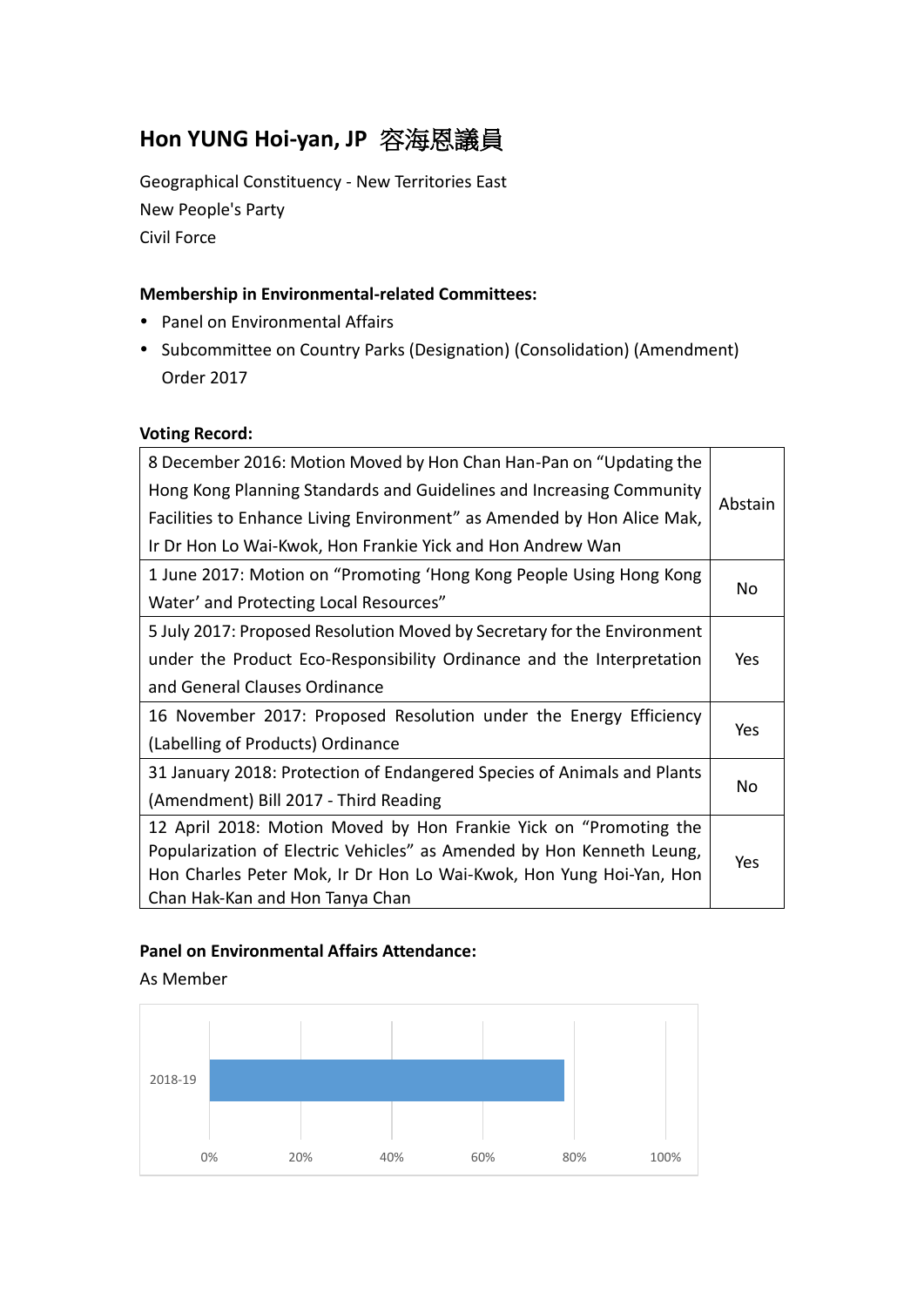# **Hon YUNG Hoi-yan, JP** 容海恩議員

Geographical Constituency - New Territories East New People's Party Civil Force

### **Membership in Environmental-related Committees:**

- Panel on Environmental Affairs
- Subcommittee on Country Parks (Designation) (Consolidation) (Amendment) Order 2017

## **Voting Record:**

| 8 December 2016: Motion Moved by Hon Chan Han-Pan on "Updating the      |         |  |  |
|-------------------------------------------------------------------------|---------|--|--|
| Hong Kong Planning Standards and Guidelines and Increasing Community    | Abstain |  |  |
| Facilities to Enhance Living Environment" as Amended by Hon Alice Mak,  |         |  |  |
| Ir Dr Hon Lo Wai-Kwok, Hon Frankie Yick and Hon Andrew Wan              |         |  |  |
| 1 June 2017: Motion on "Promoting 'Hong Kong People Using Hong Kong     | No      |  |  |
| Water' and Protecting Local Resources"                                  |         |  |  |
| 5 July 2017: Proposed Resolution Moved by Secretary for the Environment |         |  |  |
| under the Product Eco-Responsibility Ordinance and the Interpretation   | Yes     |  |  |
| and General Clauses Ordinance                                           |         |  |  |
| 16 November 2017: Proposed Resolution under the Energy Efficiency       |         |  |  |
| (Labelling of Products) Ordinance                                       | Yes     |  |  |
| 31 January 2018: Protection of Endangered Species of Animals and Plants |         |  |  |
| (Amendment) Bill 2017 - Third Reading                                   | No      |  |  |
| 12 April 2018: Motion Moved by Hon Frankie Yick on "Promoting the       |         |  |  |
| Popularization of Electric Vehicles" as Amended by Hon Kenneth Leung,   | Yes     |  |  |
| Hon Charles Peter Mok, Ir Dr Hon Lo Wai-Kwok, Hon Yung Hoi-Yan, Hon     |         |  |  |
| Chan Hak-Kan and Hon Tanya Chan                                         |         |  |  |

### **Panel on Environmental Affairs Attendance:**

As Member